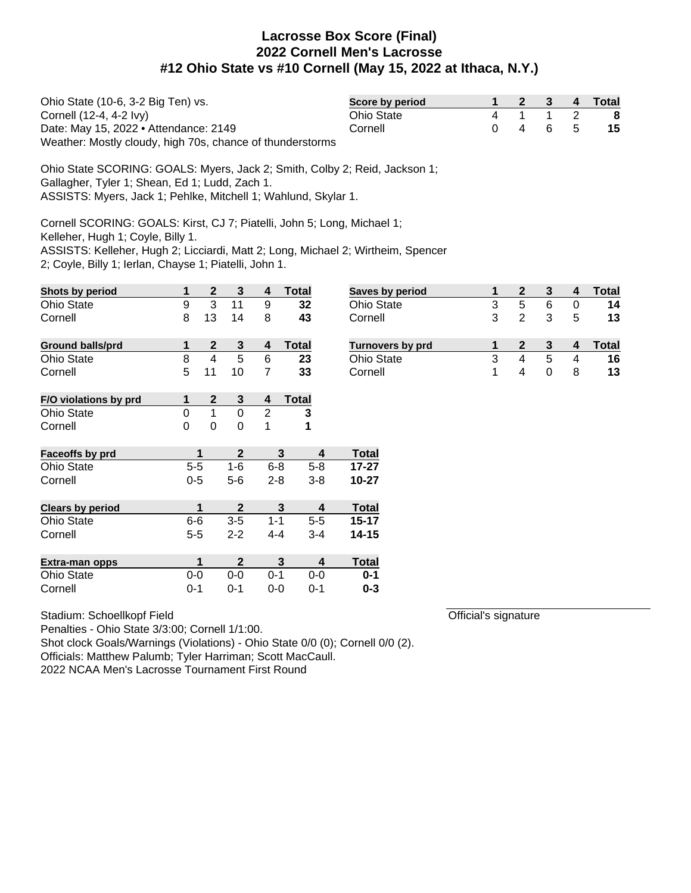| Ohio State (10-6, 3-2 Big Ten) vs.                        | Score by period |                 |  | 2 3 4 Total |
|-----------------------------------------------------------|-----------------|-----------------|--|-------------|
| Cornell (12-4, 4-2 lvy)                                   | Ohio State      | 4 1 1 2         |  | - 8         |
| Date: May 15, 2022 • Attendance: 2149                     | Cornell         | $0 \t4 \t6 \t5$ |  | -15         |
| Weather: Mostly cloudy, high 70s, chance of thunderstorms |                 |                 |  |             |

Ohio State SCORING: GOALS: Myers, Jack 2; Smith, Colby 2; Reid, Jackson 1; Gallagher, Tyler 1; Shean, Ed 1; Ludd, Zach 1. ASSISTS: Myers, Jack 1; Pehlke, Mitchell 1; Wahlund, Skylar 1.

Cornell SCORING: GOALS: Kirst, CJ 7; Piatelli, John 5; Long, Michael 1;

Kelleher, Hugh 1; Coyle, Billy 1.

ASSISTS: Kelleher, Hugh 2; Licciardi, Matt 2; Long, Michael 2; Wirtheim, Spencer

2; Coyle, Billy 1; Ierlan, Chayse 1; Piatelli, John 1.

| Shots by period         | 1              | $\boldsymbol{2}$ | 3            | 4              | <b>Total</b>                 | Saves by period   | 1 | $\mathbf{2}$            | 3                | 4              | <b>Total</b> |
|-------------------------|----------------|------------------|--------------|----------------|------------------------------|-------------------|---|-------------------------|------------------|----------------|--------------|
| <b>Ohio State</b>       | 9              | 3                | 11           | 9              | 32                           | Ohio State        | 3 | 5                       | 6                | $\Omega$       | 14           |
| Cornell                 | 8              | 13               | 14           | 8              | 43                           | Cornell           | 3 | $\overline{2}$          | 3                | 5              | 13           |
| <b>Ground balls/prd</b> | 1              | $\boldsymbol{2}$ | $\mathbf{3}$ | 4              | <b>Total</b>                 | Turnovers by prd  | 1 | $\boldsymbol{2}$        | $\mathbf{3}$     | 4              | <b>Total</b> |
| <b>Ohio State</b>       | 8              | $\overline{4}$   | 5            | 6              | 23                           | <b>Ohio State</b> | 3 | $\overline{\mathbf{4}}$ | 5                | $\overline{4}$ | 16           |
| Cornell                 | 5              | 11               | 10           | 7              | 33                           | Cornell           | 1 | 4                       | $\boldsymbol{0}$ | 8              | 13           |
| F/O violations by prd   |                | $\boldsymbol{2}$ | $\mathbf{3}$ | 4              | <b>Total</b>                 |                   |   |                         |                  |                |              |
| <b>Ohio State</b>       | $\overline{0}$ | 1                | $\mathbf 0$  | $\overline{2}$ | 3                            |                   |   |                         |                  |                |              |
| Cornell                 | $\mathbf 0$    | $\mathbf 0$      | $\mathbf 0$  | 1              | 1                            |                   |   |                         |                  |                |              |
| Faceoffs by prd         |                | 1                | $\mathbf{2}$ |                | 3<br>$\overline{\mathbf{4}}$ | <b>Total</b>      |   |                         |                  |                |              |
| <b>Ohio State</b>       | $5-5$          |                  | $1-6$        | $6 - 8$        | $5-8$                        | $17 - 27$         |   |                         |                  |                |              |
| Cornell                 | $0-5$          |                  | $5-6$        | $2 - 8$        | $3 - 8$                      | $10 - 27$         |   |                         |                  |                |              |
| <b>Clears by period</b> |                | 1                | $\mathbf{2}$ |                | $\mathbf{3}$<br>4            | <b>Total</b>      |   |                         |                  |                |              |
| <b>Ohio State</b>       | $6-6$          |                  | $3-5$        | $1 - 1$        | $5-5$                        | $15 - 17$         |   |                         |                  |                |              |
| Cornell                 | $5 - 5$        |                  | $2 - 2$      | 4-4            | $3 - 4$                      | $14 - 15$         |   |                         |                  |                |              |
| <b>Extra-man opps</b>   |                | 1                | $\mathbf{2}$ |                | 3<br>4                       | <b>Total</b>      |   |                         |                  |                |              |
| <b>Ohio State</b>       | $0-0$          |                  | $0-0$        | $0 - 1$        | $0-0$                        | $0 - 1$           |   |                         |                  |                |              |
| Cornell                 | $0 - 1$        |                  | $0 - 1$      | $0-0$          | $0 - 1$                      | $0 - 3$           |   |                         |                  |                |              |

Official's signature

Penalties - Ohio State 3/3:00; Cornell 1/1:00. Shot clock Goals/Warnings (Violations) - Ohio State 0/0 (0); Cornell 0/0 (2). Officials: Matthew Palumb; Tyler Harriman; Scott MacCaull. 2022 NCAA Men's Lacrosse Tournament First Round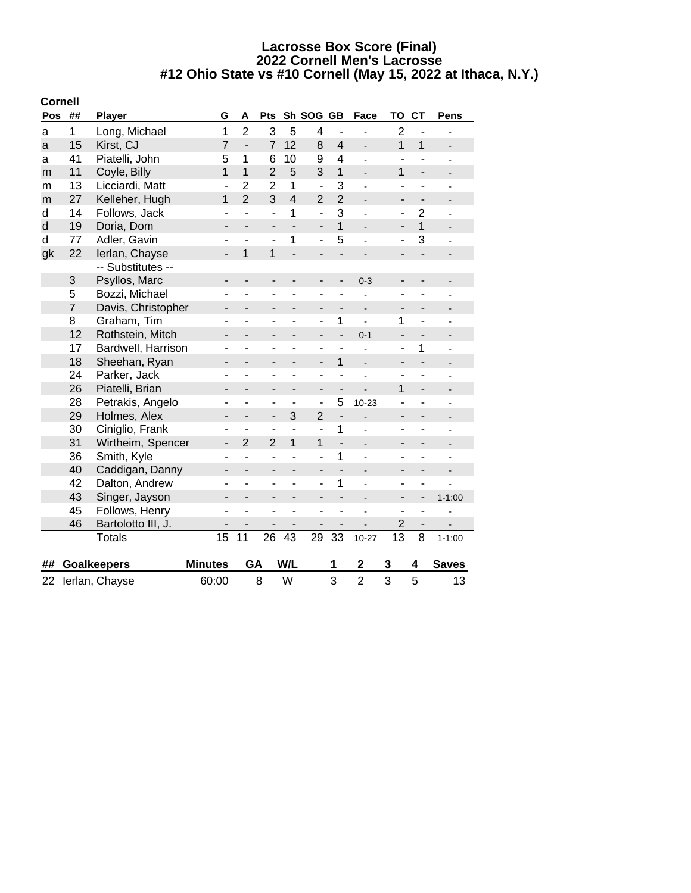|              | <b>Cornell</b> |                    |                          |                              |                          |                          |                          |                          |                          |                              |                              |                          |
|--------------|----------------|--------------------|--------------------------|------------------------------|--------------------------|--------------------------|--------------------------|--------------------------|--------------------------|------------------------------|------------------------------|--------------------------|
| Pos          | ##             | <b>Player</b>      | G                        | A                            | Pts                      |                          | Sh SOG GB                |                          | Face                     | TO                           | <b>CT</b>                    | Pens                     |
| a            | 1              | Long, Michael      | 1                        | $\overline{2}$               | 3                        | 5                        | 4                        | $\overline{\phantom{a}}$ |                          | $\overline{2}$               | $\overline{\phantom{a}}$     |                          |
| a            | 15             | Kirst, CJ          | $\overline{7}$           | $\frac{1}{2}$                | $\overline{7}$           | 12                       | 8                        | $\overline{4}$           | $\overline{a}$           | 1                            | $\mathbf{1}$                 | $\overline{a}$           |
| a            | 41             | Piatelli, John     | 5                        | 1                            | 6                        | 10                       | 9                        | 4                        | ÷                        |                              |                              | $\blacksquare$           |
| m            | 11             | Coyle, Billy       | 1                        | $\overline{1}$               | $\overline{2}$           | 5                        | 3                        | $\overline{1}$           | $\blacksquare$           | 1                            | $\frac{1}{2}$                | ÷,                       |
| m            | 13             | Licciardi, Matt    | $\blacksquare$           | $\overline{2}$               | $\overline{2}$           | $\mathbf{1}$             | $\overline{a}$           | 3                        | ä,                       | $\overline{\phantom{a}}$     | ٠                            | ÷                        |
| m            | 27             | Kelleher, Hugh     | 1                        | $\overline{2}$               | 3                        | $\overline{\mathbf{4}}$  | $\overline{2}$           | $\overline{2}$           | $\overline{a}$           | $\overline{\phantom{0}}$     | $\qquad \qquad \blacksquare$ | $\overline{\phantom{a}}$ |
| d            | 14             | Follows, Jack      | ÷,                       | $\overline{a}$               | ÷,                       | 1                        | $\overline{a}$           | 3                        | L.                       | ÷,                           | $\overline{c}$               | ÷,                       |
| $\mathsf{d}$ | 19             | Doria, Dom         | $\overline{\phantom{0}}$ | $\overline{a}$               | $\overline{\phantom{0}}$ | $\overline{a}$           | $\overline{\phantom{a}}$ | $\overline{1}$           | $\overline{\phantom{a}}$ | $\overline{\phantom{0}}$     | $\overline{1}$               | $\overline{\phantom{0}}$ |
| d            | 77             | Adler, Gavin       | ä,                       | ä,                           | ÷,                       | 1                        | $\overline{a}$           | 5                        | $\overline{a}$           | ÷,                           | 3                            | ÷,                       |
| gk           | 22             | Ierlan, Chayse     | -                        | $\overline{1}$               | 1                        | $\overline{a}$           | $\overline{\phantom{m}}$ | $\overline{\phantom{0}}$ | -                        | -                            | $\overline{\phantom{0}}$     |                          |
|              |                | -- Substitutes --  |                          |                              |                          |                          |                          |                          |                          |                              |                              |                          |
|              | 3              | Psyllos, Marc      | -                        | $\overline{\phantom{m}}$     | -                        | $\overline{\phantom{0}}$ | $\overline{\phantom{a}}$ | $\overline{\phantom{m}}$ | $0 - 3$                  | $\overline{\phantom{m}}$     | -                            |                          |
|              | 5              | Bozzi, Michael     | ÷                        | ÷,                           | ÷,                       | ÷,                       | ä,                       | ÷,                       |                          | ÷,                           |                              |                          |
|              | $\overline{7}$ | Davis, Christopher | -                        | $\overline{\phantom{0}}$     | $\overline{\phantom{0}}$ | $\overline{\phantom{0}}$ | $\overline{\phantom{a}}$ | $\overline{\phantom{a}}$ | $\overline{\phantom{a}}$ | $\qquad \qquad \blacksquare$ | $\overline{\phantom{0}}$     |                          |
|              | 8              | Graham, Tim        | ٠                        | ä,                           | ÷                        | ۳                        | $\overline{\phantom{a}}$ | 1                        | ÷,                       | 1                            | ٠                            |                          |
|              | 12             | Rothstein, Mitch   | -                        | Ĭ.                           |                          |                          |                          | $\overline{\phantom{0}}$ | $0 - 1$                  | $\overline{\phantom{0}}$     | $\overline{\phantom{0}}$     |                          |
|              | 17             | Bardwell, Harrison | ۰                        | ÷,                           | ۰                        | ÷,                       | $\blacksquare$           | ÷,                       |                          | ÷,                           | 1                            |                          |
|              | 18             | Sheehan, Ryan      | $\blacksquare$           | $\overline{\phantom{0}}$     | -                        | $\overline{a}$           | $\overline{\phantom{a}}$ | $\mathbf{1}$             | $\overline{a}$           | $\overline{\phantom{0}}$     | $\overline{\phantom{0}}$     | $\overline{a}$           |
|              | 24             | Parker, Jack       | ä,                       | ÷,                           | ÷,                       | ÷,                       | $\blacksquare$           | ä,                       |                          | ä,                           | $\overline{a}$               |                          |
|              | 26             | Piatelli, Brian    | -                        | $\overline{\phantom{a}}$     | ٠                        | $\overline{\phantom{0}}$ | $\overline{\phantom{a}}$ | $\overline{a}$           |                          | 1                            | $\overline{\phantom{0}}$     |                          |
|              | 28             | Petrakis, Angelo   | ۰                        | ٠                            | ۰                        | ٠                        | $\overline{a}$           | 5                        | $10 - 23$                |                              | -                            |                          |
|              | 29             | Holmes, Alex       | -                        | $\qquad \qquad \blacksquare$ | $\overline{\phantom{0}}$ | 3                        | $\overline{2}$           | $\frac{1}{2}$            |                          | $\overline{\phantom{0}}$     | $\overline{\phantom{0}}$     |                          |
|              | 30             | Ciniglio, Frank    | $\overline{\phantom{a}}$ | ä,                           | $\overline{a}$           | $\overline{a}$           | $\overline{a}$           | $\mathbf 1$              | $\overline{a}$           | $\overline{\phantom{a}}$     | ÷,                           | L,                       |
|              | 31             | Wirtheim, Spencer  | $\overline{\phantom{a}}$ | $\overline{2}$               | $\overline{2}$           | 1                        | 1                        | $\overline{a}$           | $\overline{a}$           | $\overline{a}$               | $\overline{a}$               |                          |
|              | 36             | Smith, Kyle        | $\overline{\phantom{a}}$ | $\overline{a}$               | ÷,                       | ÷,                       | $\blacksquare$           | 1                        | $\overline{\phantom{0}}$ | ۰                            | -                            |                          |
|              | 40             | Caddigan, Danny    | -                        | $\overline{\phantom{0}}$     | ÷                        |                          | $\blacksquare$           | $\overline{a}$           |                          |                              |                              |                          |
|              | 42             | Dalton, Andrew     | ۰                        | ÷,                           | ÷                        | ÷,                       | $\overline{\phantom{a}}$ | 1                        |                          | ÷                            | ÷,                           |                          |
|              | 43             | Singer, Jayson     | Ĭ.                       |                              |                          |                          | $\overline{\phantom{0}}$ | $\overline{a}$           | L,                       | $\overline{\phantom{0}}$     | $\overline{\phantom{0}}$     | $1 - 1:00$               |
|              | 45             | Follows, Henry     | $\blacksquare$           | ä,                           | L,                       | ä,                       | ä,                       | ä,                       |                          | ÷,                           | ÷,                           |                          |
|              | 46             | Bartolotto III, J. |                          |                              |                          |                          |                          |                          |                          | $\overline{c}$               | $\overline{\phantom{0}}$     |                          |
|              |                | <b>Totals</b>      | 15                       | 11                           | 26                       | 43                       | 29                       | 33                       | $10 - 27$                | 13                           | 8                            | $1 - 1:00$               |
|              |                |                    |                          |                              |                          |                          |                          |                          |                          |                              |                              |                          |
| ##           |                | <b>Goalkeepers</b> | <b>Minutes</b>           | GA                           |                          | W/L                      |                          | 1                        | $\mathbf 2$              | 3                            | 4                            | <b>Saves</b>             |
| 22           |                | Ierlan, Chayse     | 60:00                    |                              | 8                        | W                        |                          | 3                        | $\overline{2}$           | 3                            | 5                            | 13                       |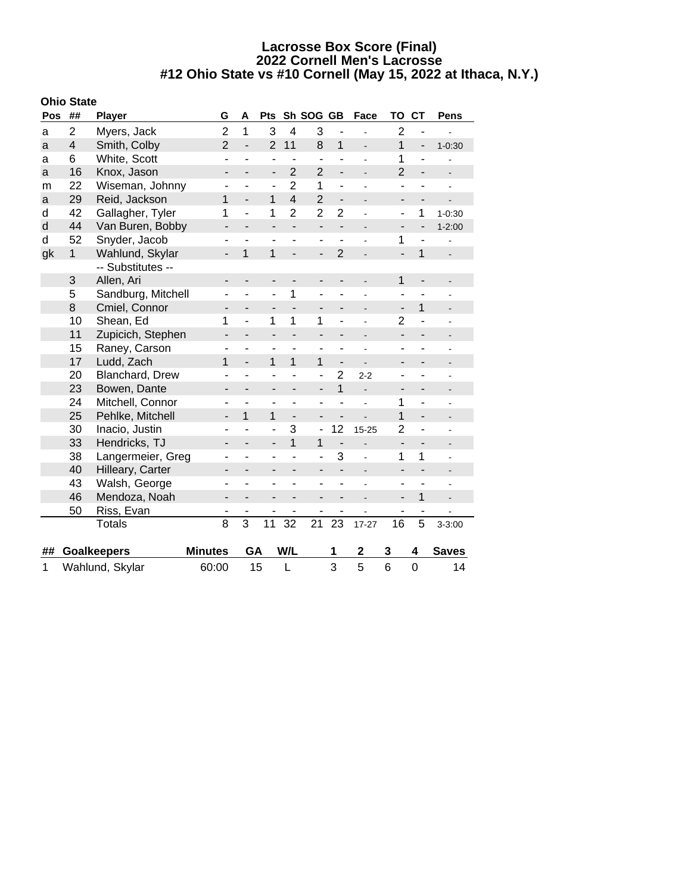|  |  | <b>Ohio State</b> |
|--|--|-------------------|
|--|--|-------------------|

| Pos | ##             | <b>Player</b>      | G                            | Α                        | <b>Pts</b>               |                          | Sh SOG GB                |                          | Face                         | TO                       | <b>CT</b>                | <b>Pens</b>              |
|-----|----------------|--------------------|------------------------------|--------------------------|--------------------------|--------------------------|--------------------------|--------------------------|------------------------------|--------------------------|--------------------------|--------------------------|
| a   | $\overline{2}$ | Myers, Jack        | $\overline{2}$               | $\mathbf 1$              | 3                        | $\overline{4}$           | 3                        |                          |                              | $\overline{2}$           | ÷,                       |                          |
| a   | 4              | Smith, Colby       | $\overline{2}$               | $\overline{a}$           | $\overline{2}$           | 11                       | 8                        | $\mathbf{1}$             | $\overline{\phantom{a}}$     | $\mathbf{1}$             | $\overline{\phantom{0}}$ | $1 - 0:30$               |
| a   | 6              | White, Scott       |                              | ÷,                       | ÷                        |                          | ÷,                       |                          | ÷                            | 1                        | $\overline{a}$           |                          |
| a   | 16             | Knox, Jason        | -                            |                          | $\overline{\phantom{a}}$ | $\overline{2}$           | $\overline{2}$           | $\overline{\phantom{0}}$ |                              | $\overline{2}$           | $\overline{\phantom{a}}$ |                          |
| m   | 22             | Wiseman, Johnny    | ۰                            |                          | ٠                        | $\overline{2}$           | 1                        | ÷,                       | ä,                           | ÷                        |                          |                          |
| a   | 29             | Reid, Jackson      | 1                            | $\overline{a}$           | 1                        | $\overline{\mathbf{4}}$  | $\overline{2}$           | $\overline{a}$           | $\blacksquare$               | $\overline{a}$           | $\overline{\phantom{0}}$ |                          |
| d   | 42             | Gallagher, Tyler   | 1                            | $\overline{\phantom{a}}$ | 1                        | $\overline{2}$           | $\overline{2}$           | $\overline{c}$           | ÷                            | ÷                        | 1                        | $1 - 0:30$               |
| d   | 44             | Van Buren, Bobby   | -                            |                          | $\overline{a}$           |                          | $\overline{a}$           | $\overline{a}$           | $\overline{\phantom{0}}$     | $\overline{a}$           | $\overline{a}$           | $1 - 2:00$               |
| d   | 52             | Snyder, Jacob      | ٠                            | ÷,                       | $\overline{\phantom{a}}$ | ÷,                       | ٠                        | $\overline{a}$           | $\blacksquare$               | 1                        | $\overline{a}$           | $\blacksquare$           |
| gk  | $\mathbf{1}$   | Wahlund, Skylar    | $\overline{\phantom{0}}$     | 1                        | 1                        | $\frac{1}{2}$            | $\overline{\phantom{0}}$ | $\overline{2}$           |                              | $\overline{a}$           | $\mathbf{1}$             | $\blacksquare$           |
|     |                | -- Substitutes --  |                              |                          |                          |                          |                          |                          |                              |                          |                          |                          |
|     | 3              | Allen, Ari         | $\overline{a}$               |                          | $\overline{a}$           |                          | $\overline{a}$           | $\overline{a}$           |                              | $\mathbf{1}$             | $\overline{a}$           |                          |
|     | 5              | Sandburg, Mitchell | ۰                            | ÷,                       | ÷,                       | 1                        | ÷,                       | ۰                        |                              | $\overline{a}$           |                          |                          |
|     | 8              | Cmiel, Connor      | $\overline{\phantom{a}}$     | $\overline{\phantom{0}}$ | $\overline{\phantom{a}}$ | $\overline{a}$           | $\overline{\phantom{a}}$ | -                        | -                            | $\overline{a}$           | $\mathbf{1}$             |                          |
|     | 10             | Shean, Ed          | 1                            | ÷,                       | 1                        | 1                        | 1                        | -                        | $\blacksquare$               | $\overline{2}$           | ÷,                       | $\blacksquare$           |
|     | 11             | Zupicich, Stephen  | $\qquad \qquad \blacksquare$ | $\overline{\phantom{0}}$ |                          | $\overline{\phantom{0}}$ |                          | -                        | L,                           | -                        | -                        |                          |
|     | 15             | Raney, Carson      | L,                           | ä,                       | $\overline{a}$           | L,                       | L                        | L,                       |                              |                          |                          |                          |
|     | 17             | Ludd, Zach         | $\mathbf{1}$                 | $\overline{a}$           | 1                        | 1                        | $\overline{1}$           | $\overline{a}$           |                              |                          |                          |                          |
|     | 20             | Blanchard, Drew    | ۰                            | ۰                        | ÷                        |                          | $\overline{\phantom{a}}$ | $\overline{2}$           | $2 - 2$                      |                          |                          |                          |
|     | 23             | Bowen, Dante       | -                            |                          | -                        | -                        | $\overline{a}$           | $\overline{1}$           |                              |                          | -                        |                          |
|     | 24             | Mitchell, Connor   | ۰                            | $\blacksquare$           | ٠                        | $\blacksquare$           | ä,                       | $\overline{a}$           | ÷,                           | 1                        | $\blacksquare$           |                          |
|     | 25             | Pehlke, Mitchell   | $\overline{\phantom{0}}$     | 1                        | 1                        | $\overline{a}$           | $\overline{a}$           | $\overline{a}$           | $\overline{a}$               | $\mathbf{1}$             | $\overline{a}$           | $\overline{\phantom{a}}$ |
|     | 30             | Inacio, Justin     |                              |                          | $\overline{a}$           | 3                        | $\overline{a}$           | 12                       | $15 - 25$                    | $\overline{2}$           | -                        |                          |
|     | 33             | Hendricks, TJ      | $\overline{\phantom{0}}$     |                          | $\overline{a}$           | $\overline{1}$           | $\overline{1}$           | $\overline{\phantom{a}}$ | L.                           | $\overline{\phantom{a}}$ | -                        |                          |
|     | 38             | Langermeier, Greg  |                              |                          | ۰                        |                          |                          | 3                        |                              | 1                        | 1                        |                          |
|     | 40             | Hilleary, Carter   | -                            | $\overline{\phantom{0}}$ | $\overline{\phantom{0}}$ | $\overline{\phantom{0}}$ | -                        |                          | $\qquad \qquad \blacksquare$ | -                        | -                        |                          |
|     | 43             | Walsh, George      | ۰                            | ÷,                       | ÷                        | ä,                       | ÷                        | ÷,                       | ÷,                           | ÷,                       | ÷,                       | ä,                       |
|     | 46             | Mendoza, Noah      | $\overline{a}$               | $\overline{\phantom{0}}$ |                          |                          |                          | -                        | L.                           | -                        | $\mathbf{1}$             |                          |
|     | 50             | Riss, Evan         |                              |                          |                          |                          |                          |                          |                              |                          | -                        |                          |
|     |                | <b>Totals</b>      | 8                            | $\overline{3}$           | 11                       | 32                       | 21                       | 23                       | $17 - 27$                    | 16                       | 5                        | $3 - 3:00$               |
|     |                |                    |                              | GA                       |                          |                          |                          |                          |                              |                          |                          |                          |
| ##  |                | <b>Goalkeepers</b> | <b>Minutes</b>               |                          |                          | W/L                      |                          | 1                        | 2                            | 3                        | 4                        | <b>Saves</b>             |
| 1   |                | Wahlund, Skylar    | 60:00                        |                          | 15                       | L                        |                          | 3                        | 5                            | $6\phantom{1}6$          | $\overline{0}$           | 14                       |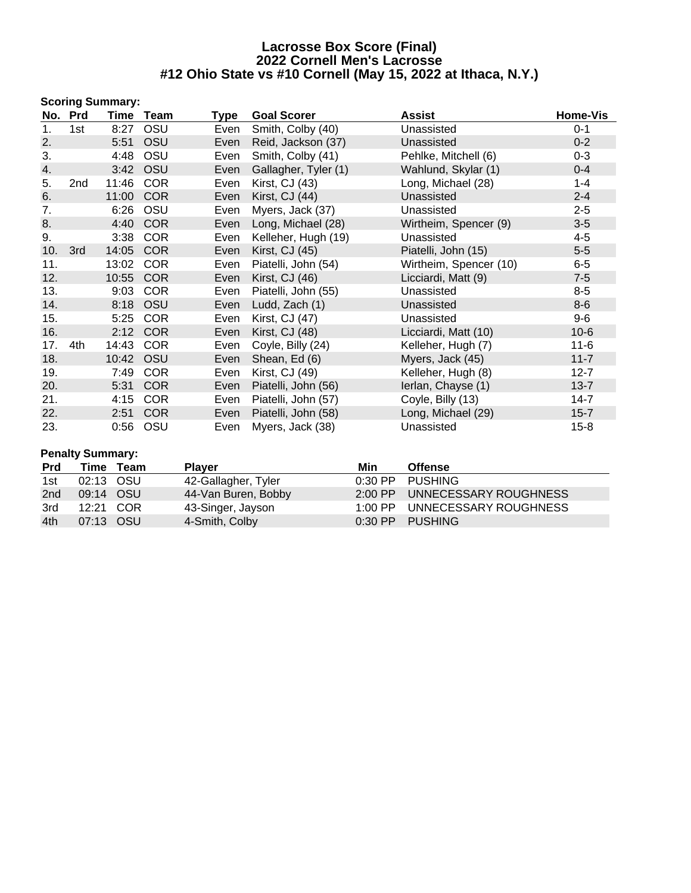|     |         | <b>Scoring Summary:</b> |            |      |                      |                        |          |
|-----|---------|-------------------------|------------|------|----------------------|------------------------|----------|
|     | No. Prd | Time                    | Team       | Type | <b>Goal Scorer</b>   | Assist                 | Home-Vis |
| 1.  | 1st     | 8:27                    | OSU        | Even | Smith, Colby (40)    | Unassisted             | $0 - 1$  |
| 2.  |         | 5:51                    | OSU        | Even | Reid, Jackson (37)   | Unassisted             | $0 - 2$  |
| 3.  |         | 4:48                    | OSU        | Even | Smith, Colby (41)    | Pehlke, Mitchell (6)   | $0 - 3$  |
| 4.  |         | 3:42                    | OSU        | Even | Gallagher, Tyler (1) | Wahlund, Skylar (1)    | $0 - 4$  |
| 5.  | 2nd     | 11:46                   | <b>COR</b> | Even | Kirst, CJ (43)       | Long, Michael (28)     | $1 - 4$  |
| 6.  |         | 11:00                   | <b>COR</b> | Even | Kirst, CJ (44)       | Unassisted             | $2 - 4$  |
| 7.  |         | 6:26                    | OSU        | Even | Myers, Jack (37)     | Unassisted             | $2 - 5$  |
| 8.  |         | 4:40                    | <b>COR</b> | Even | Long, Michael (28)   | Wirtheim, Spencer (9)  | $3 - 5$  |
| 9.  |         | 3:38                    | <b>COR</b> | Even | Kelleher, Hugh (19)  | Unassisted             | $4 - 5$  |
| 10. | 3rd     | 14:05                   | <b>COR</b> | Even | Kirst, CJ (45)       | Piatelli, John (15)    | $5-5$    |
| 11. |         | 13:02                   | <b>COR</b> | Even | Piatelli, John (54)  | Wirtheim, Spencer (10) | $6-5$    |
| 12. |         | 10:55                   | <b>COR</b> | Even | Kirst, CJ (46)       | Licciardi, Matt (9)    | $7 - 5$  |
| 13. |         | 9:03                    | <b>COR</b> | Even | Piatelli, John (55)  | Unassisted             | $8-5$    |
| 14. |         | 8:18                    | OSU        | Even | Ludd, Zach (1)       | Unassisted             | $8-6$    |
| 15. |         | 5:25                    | <b>COR</b> | Even | Kirst, CJ (47)       | Unassisted             | $9-6$    |
| 16. |         | 2:12                    | <b>COR</b> | Even | Kirst, CJ (48)       | Licciardi, Matt (10)   | $10-6$   |
| 17. | 4th     | 14:43                   | <b>COR</b> | Even | Coyle, Billy (24)    | Kelleher, Hugh (7)     | $11 - 6$ |
| 18. |         | 10:42                   | OSU        | Even | Shean, Ed (6)        | Myers, Jack (45)       | $11 - 7$ |
| 19. |         | 7:49                    | <b>COR</b> | Even | Kirst, CJ (49)       | Kelleher, Hugh (8)     | $12 - 7$ |
| 20. |         | 5:31                    | <b>COR</b> | Even | Piatelli, John (56)  | lerlan, Chayse (1)     | $13 - 7$ |
| 21. |         | 4:15                    | <b>COR</b> | Even | Piatelli, John (57)  | Coyle, Billy (13)      | $14 - 7$ |
| 22. |         | 2:51                    | <b>COR</b> | Even | Piatelli, John (58)  | Long, Michael (29)     | $15 - 7$ |
| 23. |         | 0:56                    | OSU        | Even | Myers, Jack (38)     | Unassisted             | $15 - 8$ |

# **Penalty Summary:**

| <b>Prd</b> |           | Time Team | <b>Plaver</b>       | Min | <b>Offense</b>                |
|------------|-----------|-----------|---------------------|-----|-------------------------------|
| 1st        | 02:13 OSU |           | 42-Gallagher, Tyler |     | 0:30 PP PUSHING               |
| 2nd        | 09:14 OSU |           | 44-Van Buren, Bobby |     | 2:00 PP UNNECESSARY ROUGHNESS |
| 3rd        | 12:21 COR |           | 43-Singer, Jayson   |     | 1:00 PP UNNECESSARY ROUGHNESS |
| 4th        | 07:13 OSU |           | 4-Smith, Colby      |     | 0:30 PP PUSHING               |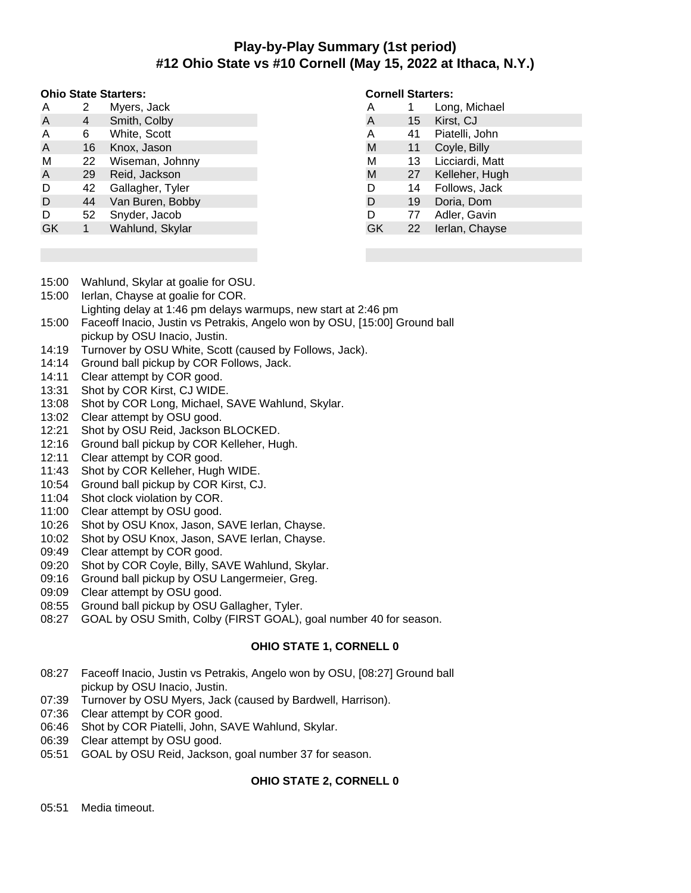# **Play-by-Play Summary (1st period) #12 Ohio State vs #10 Cornell (May 15, 2022 at Ithaca, N.Y.)**

#### **Ohio State Starters:**

| А  | 2  | Myers, Jack      |
|----|----|------------------|
| A  | 4  | Smith, Colby     |
| A  | 6  | White, Scott     |
| A  | 16 | Knox, Jason      |
| М  | 22 | Wiseman, Johnny  |
| A  | 29 | Reid, Jackson    |
| D  | 42 | Gallagher, Tyler |
| D  | 44 | Van Buren, Bobby |
| D  | 52 | Snyder, Jacob    |
| GK |    | Wahlund, Skylar  |
|    |    |                  |

### **Cornell Starters:**

| Α  |                 | Long, Michael   |
|----|-----------------|-----------------|
| A  | 15 <sup>1</sup> | Kirst, CJ       |
| Α  | 41              | Piatelli, John  |
| M  | 11              | Coyle, Billy    |
| M  | 13              | Licciardi, Matt |
| M  | 27              | Kelleher, Hugh  |
| D  | 14              | Follows, Jack   |
| D  | 19              | Doria, Dom      |
| D  | 77              | Adler, Gavin    |
| GK | 22              | Ierlan, Chayse  |
|    |                 |                 |

- 15:00 Wahlund, Skylar at goalie for OSU.
- 15:00 Ierlan, Chayse at goalie for COR.
- Lighting delay at 1:46 pm delays warmups, new start at 2:46 pm
- 15:00 Faceoff Inacio, Justin vs Petrakis, Angelo won by OSU, [15:00] Ground ball pickup by OSU Inacio, Justin.
- 14:19 Turnover by OSU White, Scott (caused by Follows, Jack).
- 14:14 Ground ball pickup by COR Follows, Jack.
- 14:11 Clear attempt by COR good.
- 13:31 Shot by COR Kirst, CJ WIDE.
- 13:08 Shot by COR Long, Michael, SAVE Wahlund, Skylar.
- 13:02 Clear attempt by OSU good.
- 12:21 Shot by OSU Reid, Jackson BLOCKED.
- 12:16 Ground ball pickup by COR Kelleher, Hugh.
- 12:11 Clear attempt by COR good.
- 11:43 Shot by COR Kelleher, Hugh WIDE.
- 10:54 Ground ball pickup by COR Kirst, CJ.
- 11:04 Shot clock violation by COR.
- 11:00 Clear attempt by OSU good.
- 10:26 Shot by OSU Knox, Jason, SAVE Ierlan, Chayse.
- 10:02 Shot by OSU Knox, Jason, SAVE Ierlan, Chayse.
- 09:49 Clear attempt by COR good.
- 09:20 Shot by COR Coyle, Billy, SAVE Wahlund, Skylar.
- 09:16 Ground ball pickup by OSU Langermeier, Greg.
- 09:09 Clear attempt by OSU good.
- 08:55 Ground ball pickup by OSU Gallagher, Tyler.
- 08:27 GOAL by OSU Smith, Colby (FIRST GOAL), goal number 40 for season.

# **OHIO STATE 1, CORNELL 0**

- 08:27 Faceoff Inacio, Justin vs Petrakis, Angelo won by OSU, [08:27] Ground ball pickup by OSU Inacio, Justin.
- 07:39 Turnover by OSU Myers, Jack (caused by Bardwell, Harrison).
- 07:36 Clear attempt by COR good.
- 06:46 Shot by COR Piatelli, John, SAVE Wahlund, Skylar.
- 06:39 Clear attempt by OSU good.
- 05:51 GOAL by OSU Reid, Jackson, goal number 37 for season.

# **OHIO STATE 2, CORNELL 0**

05:51 Media timeout.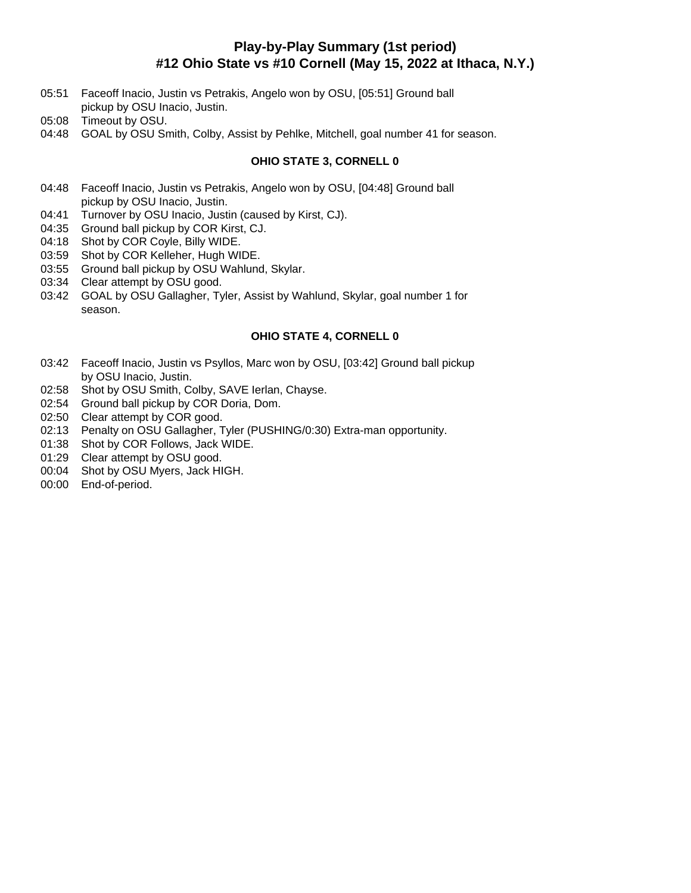# **Play-by-Play Summary (1st period) #12 Ohio State vs #10 Cornell (May 15, 2022 at Ithaca, N.Y.)**

- 05:51 Faceoff Inacio, Justin vs Petrakis, Angelo won by OSU, [05:51] Ground ball pickup by OSU Inacio, Justin.
- 05:08 Timeout by OSU.
- 04:48 GOAL by OSU Smith, Colby, Assist by Pehlke, Mitchell, goal number 41 for season.

# **OHIO STATE 3, CORNELL 0**

- 04:48 Faceoff Inacio, Justin vs Petrakis, Angelo won by OSU, [04:48] Ground ball pickup by OSU Inacio, Justin.
- 04:41 Turnover by OSU Inacio, Justin (caused by Kirst, CJ).
- 04:35 Ground ball pickup by COR Kirst, CJ.
- 04:18 Shot by COR Coyle, Billy WIDE.
- 03:59 Shot by COR Kelleher, Hugh WIDE.
- 03:55 Ground ball pickup by OSU Wahlund, Skylar.
- 03:34 Clear attempt by OSU good.
- 03:42 GOAL by OSU Gallagher, Tyler, Assist by Wahlund, Skylar, goal number 1 for season.

# **OHIO STATE 4, CORNELL 0**

- 03:42 Faceoff Inacio, Justin vs Psyllos, Marc won by OSU, [03:42] Ground ball pickup by OSU Inacio, Justin.
- 02:58 Shot by OSU Smith, Colby, SAVE Ierlan, Chayse.
- 02:54 Ground ball pickup by COR Doria, Dom.
- 02:50 Clear attempt by COR good.
- 02:13 Penalty on OSU Gallagher, Tyler (PUSHING/0:30) Extra-man opportunity.
- 01:38 Shot by COR Follows, Jack WIDE.
- 01:29 Clear attempt by OSU good.
- 00:04 Shot by OSU Myers, Jack HIGH.
- 00:00 End-of-period.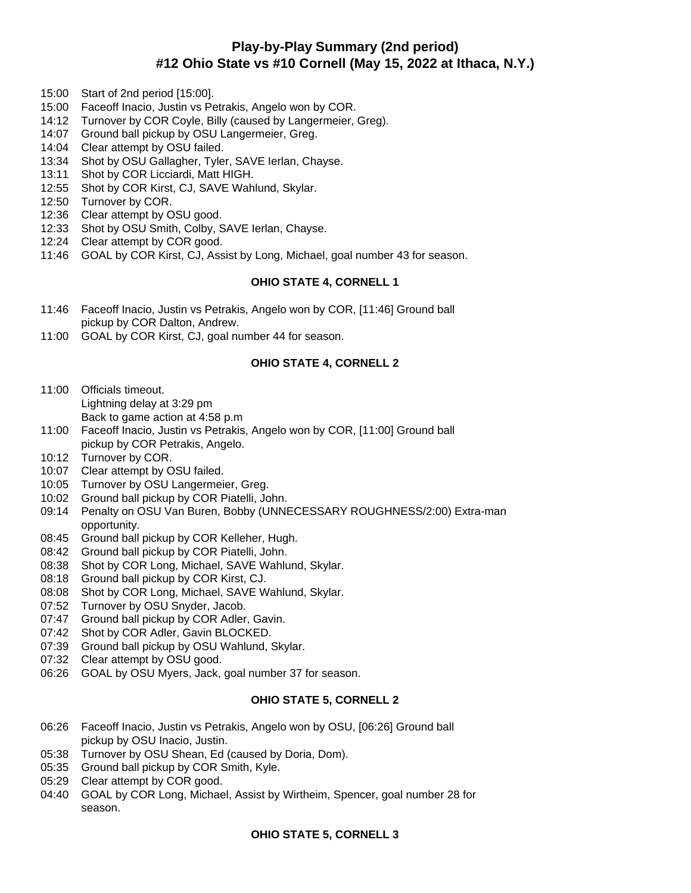# **Play-by-Play Summary (2nd period) #12 Ohio State vs #10 Cornell (May 15, 2022 at Ithaca, N.Y.)**

- 15:00 Start of 2nd period [15:00].
- 15:00 Faceoff Inacio, Justin vs Petrakis, Angelo won by COR.
- 14:12 Turnover by COR Coyle, Billy (caused by Langermeier, Greg).
- 14:07 Ground ball pickup by OSU Langermeier, Greg.
- 14:04 Clear attempt by OSU failed.
- 13:34 Shot by OSU Gallagher, Tyler, SAVE Ierlan, Chayse.
- 13:11 Shot by COR Licciardi, Matt HIGH.
- 12:55 Shot by COR Kirst, CJ, SAVE Wahlund, Skylar.
- 12:50 Turnover by COR.
- 12:36 Clear attempt by OSU good.
- 12:33 Shot by OSU Smith, Colby, SAVE Ierlan, Chayse.
- 12:24 Clear attempt by COR good.
- 11:46 GOAL by COR Kirst, CJ, Assist by Long, Michael, goal number 43 for season.

### **OHIO STATE 4, CORNELL 1**

- 11:46 Faceoff Inacio, Justin vs Petrakis, Angelo won by COR, [11:46] Ground ball pickup by COR Dalton, Andrew.
- 11:00 GOAL by COR Kirst, CJ, goal number 44 for season.

### **OHIO STATE 4, CORNELL 2**

- 11:00 Officials timeout. Lightning delay at 3:29 pm Back to game action at 4:58 p.m
- 11:00 Faceoff Inacio, Justin vs Petrakis, Angelo won by COR, [11:00] Ground ball
- pickup by COR Petrakis, Angelo.
- 10:12 Turnover by COR.
- 10:07 Clear attempt by OSU failed.
- 10:05 Turnover by OSU Langermeier, Greg.
- 10:02 Ground ball pickup by COR Piatelli, John.
- 09:14 Penalty on OSU Van Buren, Bobby (UNNECESSARY ROUGHNESS/2:00) Extra-man opportunity.
- 08:45 Ground ball pickup by COR Kelleher, Hugh.
- 08:42 Ground ball pickup by COR Piatelli, John.
- 08:38 Shot by COR Long, Michael, SAVE Wahlund, Skylar.
- 08:18 Ground ball pickup by COR Kirst, CJ.
- 08:08 Shot by COR Long, Michael, SAVE Wahlund, Skylar.
- 07:52 Turnover by OSU Snyder, Jacob.
- 07:47 Ground ball pickup by COR Adler, Gavin.
- 07:42 Shot by COR Adler, Gavin BLOCKED.
- 07:39 Ground ball pickup by OSU Wahlund, Skylar.
- 07:32 Clear attempt by OSU good.
- 06:26 GOAL by OSU Myers, Jack, goal number 37 for season.

# **OHIO STATE 5, CORNELL 2**

- 06:26 Faceoff Inacio, Justin vs Petrakis, Angelo won by OSU, [06:26] Ground ball pickup by OSU Inacio, Justin.
- 05:38 Turnover by OSU Shean, Ed (caused by Doria, Dom).
- 05:35 Ground ball pickup by COR Smith, Kyle.
- 05:29 Clear attempt by COR good.
- 04:40 GOAL by COR Long, Michael, Assist by Wirtheim, Spencer, goal number 28 for season.

### **OHIO STATE 5, CORNELL 3**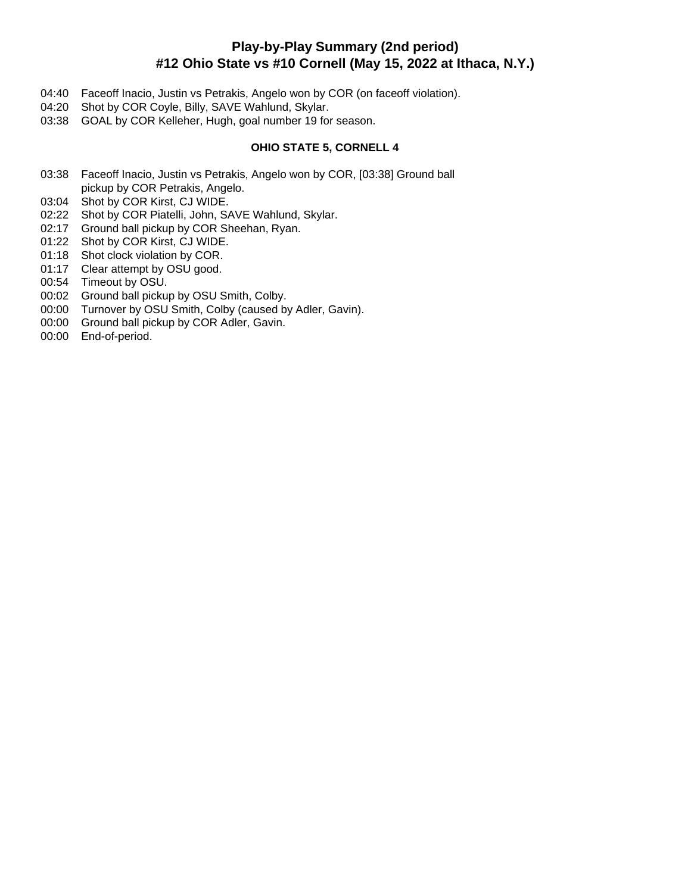# **Play-by-Play Summary (2nd period) #12 Ohio State vs #10 Cornell (May 15, 2022 at Ithaca, N.Y.)**

- 04:40 Faceoff Inacio, Justin vs Petrakis, Angelo won by COR (on faceoff violation).
- 04:20 Shot by COR Coyle, Billy, SAVE Wahlund, Skylar.
- 03:38 GOAL by COR Kelleher, Hugh, goal number 19 for season.

# **OHIO STATE 5, CORNELL 4**

- 03:38 Faceoff Inacio, Justin vs Petrakis, Angelo won by COR, [03:38] Ground ball pickup by COR Petrakis, Angelo.
- 03:04 Shot by COR Kirst, CJ WIDE.
- 02:22 Shot by COR Piatelli, John, SAVE Wahlund, Skylar.
- 02:17 Ground ball pickup by COR Sheehan, Ryan.
- 01:22 Shot by COR Kirst, CJ WIDE.
- 01:18 Shot clock violation by COR.
- 01:17 Clear attempt by OSU good.
- 00:54 Timeout by OSU.
- 00:02 Ground ball pickup by OSU Smith, Colby.
- 00:00 Turnover by OSU Smith, Colby (caused by Adler, Gavin).
- 00:00 Ground ball pickup by COR Adler, Gavin.
- 00:00 End-of-period.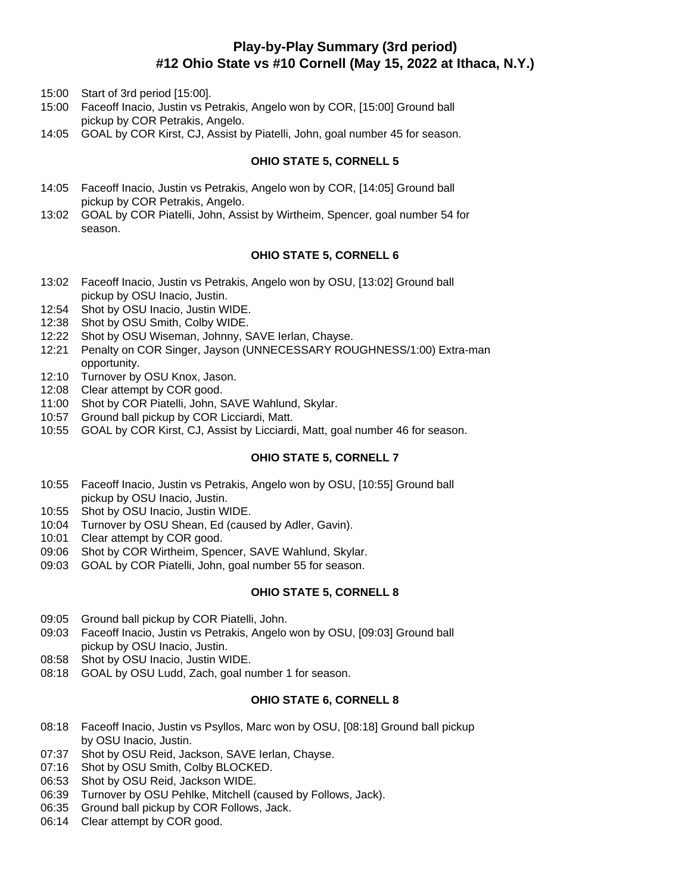# **Play-by-Play Summary (3rd period) #12 Ohio State vs #10 Cornell (May 15, 2022 at Ithaca, N.Y.)**

15:00 Start of 3rd period [15:00].

- 15:00 Faceoff Inacio, Justin vs Petrakis, Angelo won by COR, [15:00] Ground ball pickup by COR Petrakis, Angelo.
- 14:05 GOAL by COR Kirst, CJ, Assist by Piatelli, John, goal number 45 for season.

# **OHIO STATE 5, CORNELL 5**

- 14:05 Faceoff Inacio, Justin vs Petrakis, Angelo won by COR, [14:05] Ground ball pickup by COR Petrakis, Angelo.
- 13:02 GOAL by COR Piatelli, John, Assist by Wirtheim, Spencer, goal number 54 for season.

# **OHIO STATE 5, CORNELL 6**

- 13:02 Faceoff Inacio, Justin vs Petrakis, Angelo won by OSU, [13:02] Ground ball pickup by OSU Inacio, Justin.
- 12:54 Shot by OSU Inacio, Justin WIDE.
- 12:38 Shot by OSU Smith, Colby WIDE.
- 12:22 Shot by OSU Wiseman, Johnny, SAVE Ierlan, Chayse.
- 12:21 Penalty on COR Singer, Jayson (UNNECESSARY ROUGHNESS/1:00) Extra-man opportunity.
- 12:10 Turnover by OSU Knox, Jason.
- 12:08 Clear attempt by COR good.
- 11:00 Shot by COR Piatelli, John, SAVE Wahlund, Skylar.
- 10:57 Ground ball pickup by COR Licciardi, Matt.
- 10:55 GOAL by COR Kirst, CJ, Assist by Licciardi, Matt, goal number 46 for season.

### **OHIO STATE 5, CORNELL 7**

- 10:55 Faceoff Inacio, Justin vs Petrakis, Angelo won by OSU, [10:55] Ground ball pickup by OSU Inacio, Justin.
- 10:55 Shot by OSU Inacio, Justin WIDE.
- 10:04 Turnover by OSU Shean, Ed (caused by Adler, Gavin).
- 10:01 Clear attempt by COR good.
- 09:06 Shot by COR Wirtheim, Spencer, SAVE Wahlund, Skylar.
- 09:03 GOAL by COR Piatelli, John, goal number 55 for season.

# **OHIO STATE 5, CORNELL 8**

- 09:05 Ground ball pickup by COR Piatelli, John.
- 09:03 Faceoff Inacio, Justin vs Petrakis, Angelo won by OSU, [09:03] Ground ball pickup by OSU Inacio, Justin.
- 08:58 Shot by OSU Inacio, Justin WIDE.
- 08:18 GOAL by OSU Ludd, Zach, goal number 1 for season.

# **OHIO STATE 6, CORNELL 8**

- 08:18 Faceoff Inacio, Justin vs Psyllos, Marc won by OSU, [08:18] Ground ball pickup by OSU Inacio, Justin.
- 07:37 Shot by OSU Reid, Jackson, SAVE Ierlan, Chayse.
- 07:16 Shot by OSU Smith, Colby BLOCKED.
- 06:53 Shot by OSU Reid, Jackson WIDE.
- 06:39 Turnover by OSU Pehlke, Mitchell (caused by Follows, Jack).
- 06:35 Ground ball pickup by COR Follows, Jack.
- 06:14 Clear attempt by COR good.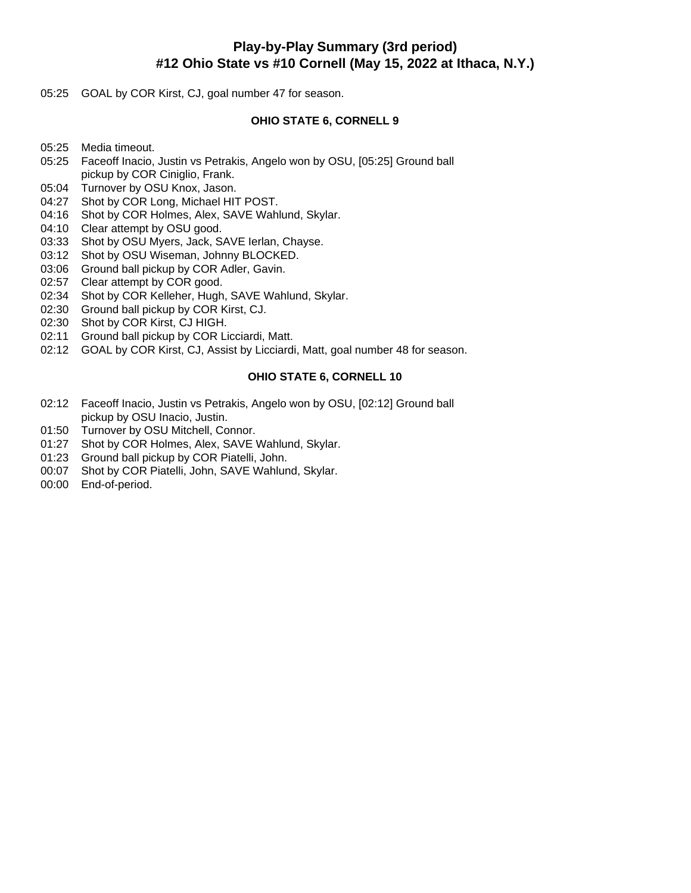# **Play-by-Play Summary (3rd period) #12 Ohio State vs #10 Cornell (May 15, 2022 at Ithaca, N.Y.)**

05:25 GOAL by COR Kirst, CJ, goal number 47 for season.

### **OHIO STATE 6, CORNELL 9**

- 05:25 Media timeout.
- 05:25 Faceoff Inacio, Justin vs Petrakis, Angelo won by OSU, [05:25] Ground ball pickup by COR Ciniglio, Frank.
- 05:04 Turnover by OSU Knox, Jason.
- 04:27 Shot by COR Long, Michael HIT POST.
- 04:16 Shot by COR Holmes, Alex, SAVE Wahlund, Skylar.
- 04:10 Clear attempt by OSU good.
- 03:33 Shot by OSU Myers, Jack, SAVE Ierlan, Chayse.
- 03:12 Shot by OSU Wiseman, Johnny BLOCKED.
- 03:06 Ground ball pickup by COR Adler, Gavin.
- 02:57 Clear attempt by COR good.
- 02:34 Shot by COR Kelleher, Hugh, SAVE Wahlund, Skylar.
- 02:30 Ground ball pickup by COR Kirst, CJ.
- 02:30 Shot by COR Kirst, CJ HIGH.
- 02:11 Ground ball pickup by COR Licciardi, Matt.
- 02:12 GOAL by COR Kirst, CJ, Assist by Licciardi, Matt, goal number 48 for season.

### **OHIO STATE 6, CORNELL 10**

- 02:12 Faceoff Inacio, Justin vs Petrakis, Angelo won by OSU, [02:12] Ground ball pickup by OSU Inacio, Justin.
- 01:50 Turnover by OSU Mitchell, Connor.
- 01:27 Shot by COR Holmes, Alex, SAVE Wahlund, Skylar.
- 01:23 Ground ball pickup by COR Piatelli, John.
- 00:07 Shot by COR Piatelli, John, SAVE Wahlund, Skylar.
- 00:00 End-of-period.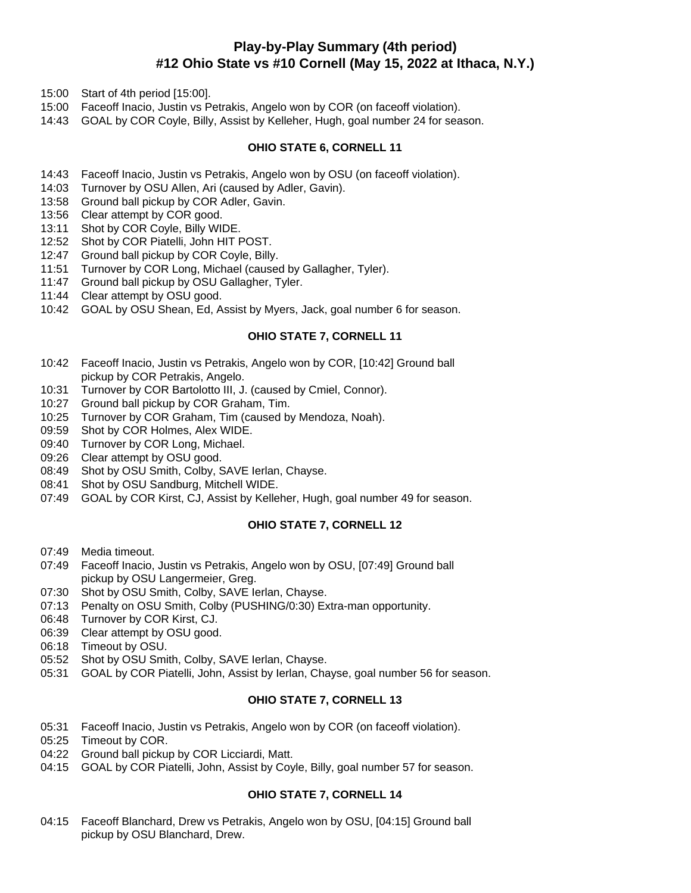# **Play-by-Play Summary (4th period) #12 Ohio State vs #10 Cornell (May 15, 2022 at Ithaca, N.Y.)**

- 15:00 Start of 4th period [15:00].
- 15:00 Faceoff Inacio, Justin vs Petrakis, Angelo won by COR (on faceoff violation).
- 14:43 GOAL by COR Coyle, Billy, Assist by Kelleher, Hugh, goal number 24 for season.

### **OHIO STATE 6, CORNELL 11**

- 14:43 Faceoff Inacio, Justin vs Petrakis, Angelo won by OSU (on faceoff violation).
- 14:03 Turnover by OSU Allen, Ari (caused by Adler, Gavin).
- 13:58 Ground ball pickup by COR Adler, Gavin.
- 13:56 Clear attempt by COR good.
- 13:11 Shot by COR Coyle, Billy WIDE.
- 12:52 Shot by COR Piatelli, John HIT POST.
- 12:47 Ground ball pickup by COR Coyle, Billy.
- 11:51 Turnover by COR Long, Michael (caused by Gallagher, Tyler).
- 11:47 Ground ball pickup by OSU Gallagher, Tyler.
- 11:44 Clear attempt by OSU good.
- 10:42 GOAL by OSU Shean, Ed, Assist by Myers, Jack, goal number 6 for season.

# **OHIO STATE 7, CORNELL 11**

- 10:42 Faceoff Inacio, Justin vs Petrakis, Angelo won by COR, [10:42] Ground ball pickup by COR Petrakis, Angelo.
- 10:31 Turnover by COR Bartolotto III, J. (caused by Cmiel, Connor).
- 10:27 Ground ball pickup by COR Graham, Tim.
- 10:25 Turnover by COR Graham, Tim (caused by Mendoza, Noah).
- 09:59 Shot by COR Holmes, Alex WIDE.
- 09:40 Turnover by COR Long, Michael.
- 09:26 Clear attempt by OSU good.
- 08:49 Shot by OSU Smith, Colby, SAVE Ierlan, Chayse.
- 08:41 Shot by OSU Sandburg, Mitchell WIDE.
- 07:49 GOAL by COR Kirst, CJ, Assist by Kelleher, Hugh, goal number 49 for season.

# **OHIO STATE 7, CORNELL 12**

- 07:49 Media timeout.
- 07:49 Faceoff Inacio, Justin vs Petrakis, Angelo won by OSU, [07:49] Ground ball pickup by OSU Langermeier, Greg.
- 07:30 Shot by OSU Smith, Colby, SAVE Ierlan, Chayse.
- 07:13 Penalty on OSU Smith, Colby (PUSHING/0:30) Extra-man opportunity.
- 06:48 Turnover by COR Kirst, CJ.
- 06:39 Clear attempt by OSU good.
- 06:18 Timeout by OSU.
- 05:52 Shot by OSU Smith, Colby, SAVE Ierlan, Chayse.
- 05:31 GOAL by COR Piatelli, John, Assist by Ierlan, Chayse, goal number 56 for season.

# **OHIO STATE 7, CORNELL 13**

- 05:31 Faceoff Inacio, Justin vs Petrakis, Angelo won by COR (on faceoff violation).
- 05:25 Timeout by COR.
- 04:22 Ground ball pickup by COR Licciardi, Matt.
- 04:15 GOAL by COR Piatelli, John, Assist by Coyle, Billy, goal number 57 for season.

# **OHIO STATE 7, CORNELL 14**

04:15 Faceoff Blanchard, Drew vs Petrakis, Angelo won by OSU, [04:15] Ground ball pickup by OSU Blanchard, Drew.